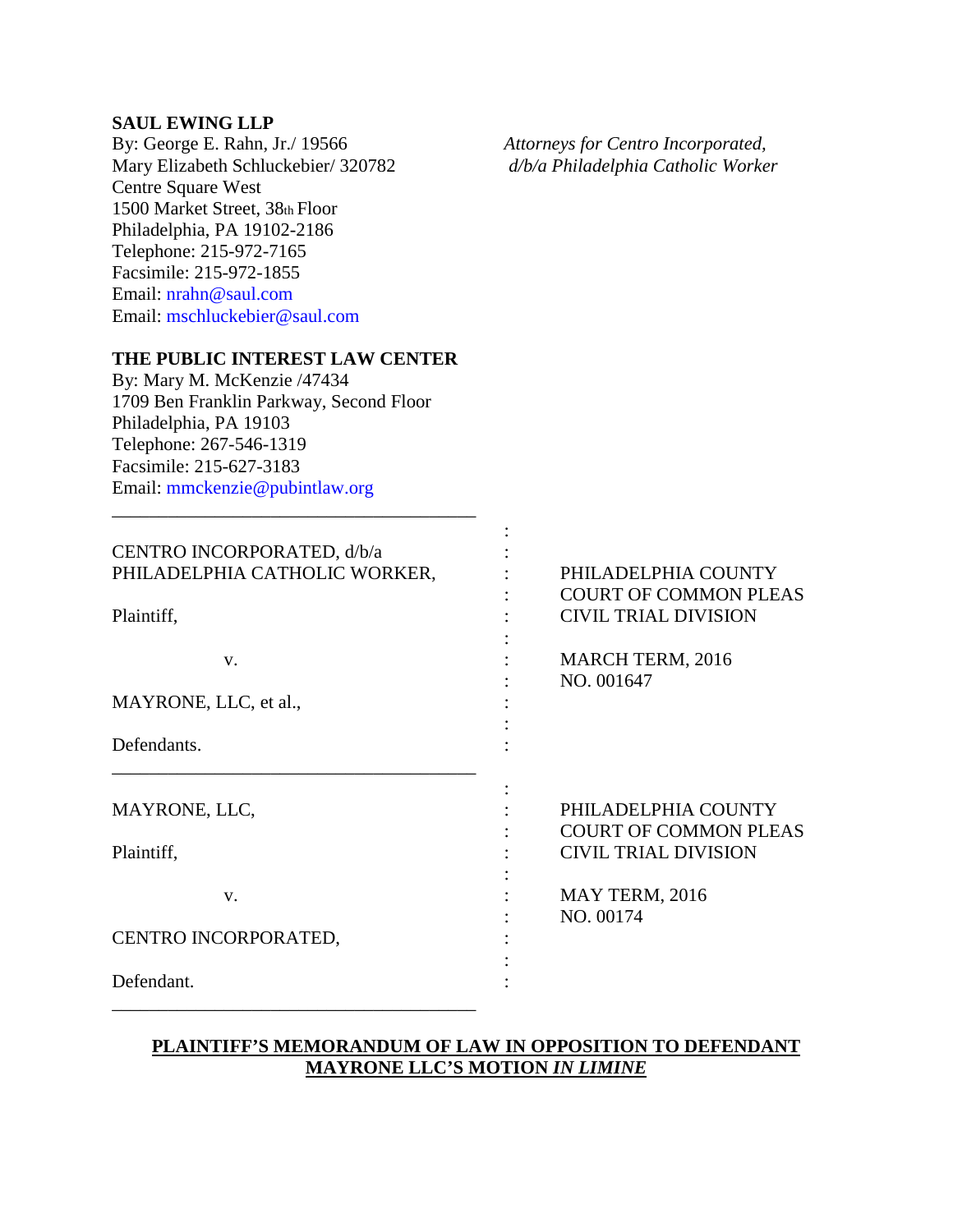## **SAUL EWING LLP**

By: George E. Rahn, Jr./ 19566 *Attorneys for Centro Incorporated,*  Mary Elizabeth Schluckebier/ 320782 *d/b/a Philadelphia Catholic Worker*  Centre Square West 1500 Market Street, 38th Floor Philadelphia, PA 19102-2186 Telephone: 215-972-7165 Facsimile: 215-972-1855 Email: nrahn@saul.com Email: mschluckebier@saul.com

## **THE PUBLIC INTEREST LAW CENTER**

By: Mary M. McKenzie /47434 1709 Ben Franklin Parkway, Second Floor Philadelphia, PA 19103 Telephone: 267-546-1319 Facsimile: 215-627-3183 Email: mmckenzie@pubintlaw.org

\_\_\_\_\_\_\_\_\_\_\_\_\_\_\_\_\_\_\_\_\_\_\_\_\_\_\_\_\_\_\_\_\_\_\_\_\_\_\_

| CENTRO INCORPORATED, d/b/a    |                              |
|-------------------------------|------------------------------|
| PHILADELPHIA CATHOLIC WORKER, | PHILADELPHIA COUNTY          |
|                               | <b>COURT OF COMMON PLEAS</b> |
| Plaintiff,                    | <b>CIVIL TRIAL DIVISION</b>  |
|                               |                              |
| V.                            | <b>MARCH TERM, 2016</b>      |
|                               | NO. 001647                   |
| MAYRONE, LLC, et al.,         |                              |
|                               |                              |
| Defendants.                   |                              |
|                               |                              |
| MAYRONE, LLC,                 | PHILADELPHIA COUNTY          |
|                               | <b>COURT OF COMMON PLEAS</b> |
| Plaintiff,                    | <b>CIVIL TRIAL DIVISION</b>  |
|                               |                              |
| $V_{\cdot}$                   | MAY TERM, 2016               |
|                               | NO. 00174                    |
| CENTRO INCORPORATED,          |                              |
|                               |                              |
| Defendant.                    |                              |
|                               |                              |

## **PLAINTIFF'S MEMORANDUM OF LAW IN OPPOSITION TO DEFENDANT MAYRONE LLC'S MOTION** *IN LIMINE*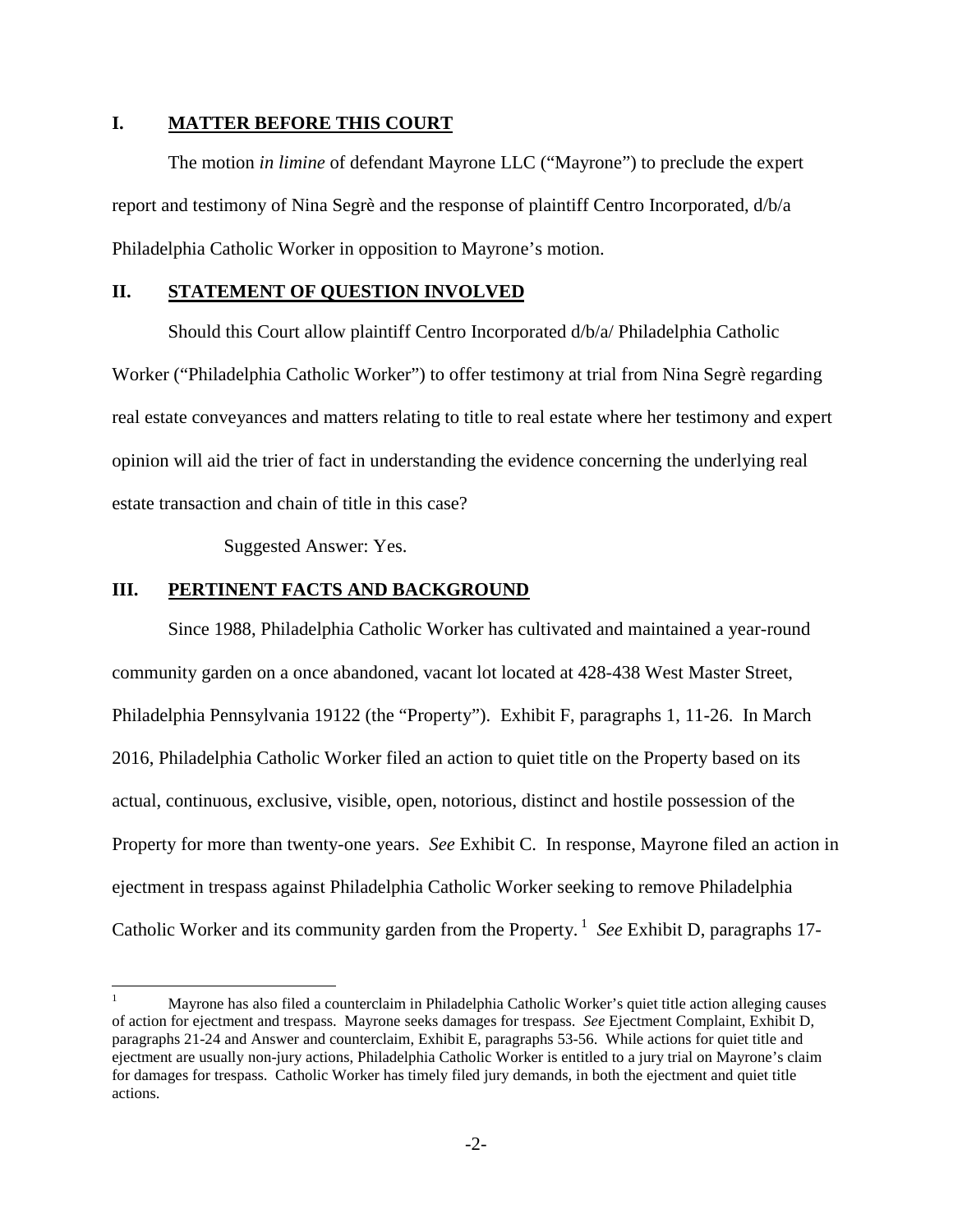#### **I. MATTER BEFORE THIS COURT**

The motion *in limine* of defendant Mayrone LLC ("Mayrone") to preclude the expert report and testimony of Nina Segrè and the response of plaintiff Centro Incorporated, d/b/a Philadelphia Catholic Worker in opposition to Mayrone's motion.

# **II. STATEMENT OF QUESTION INVOLVED**

Should this Court allow plaintiff Centro Incorporated d/b/a/ Philadelphia Catholic Worker ("Philadelphia Catholic Worker") to offer testimony at trial from Nina Segrè regarding real estate conveyances and matters relating to title to real estate where her testimony and expert opinion will aid the trier of fact in understanding the evidence concerning the underlying real estate transaction and chain of title in this case?

Suggested Answer: Yes.

## **III. PERTINENT FACTS AND BACKGROUND**

 $\overline{a}$ 

Since 1988, Philadelphia Catholic Worker has cultivated and maintained a year-round community garden on a once abandoned, vacant lot located at 428-438 West Master Street, Philadelphia Pennsylvania 19122 (the "Property"). Exhibit F, paragraphs 1, 11-26. In March 2016, Philadelphia Catholic Worker filed an action to quiet title on the Property based on its actual, continuous, exclusive, visible, open, notorious, distinct and hostile possession of the Property for more than twenty-one years. *See* Exhibit C. In response, Mayrone filed an action in ejectment in trespass against Philadelphia Catholic Worker seeking to remove Philadelphia Catholic Worker and its community garden from the Property.<sup>1</sup> *See* Exhibit D, paragraphs 17-

<sup>1</sup> Mayrone has also filed a counterclaim in Philadelphia Catholic Worker's quiet title action alleging causes of action for ejectment and trespass. Mayrone seeks damages for trespass. *See* Ejectment Complaint, Exhibit D, paragraphs 21-24 and Answer and counterclaim, Exhibit E, paragraphs 53-56. While actions for quiet title and ejectment are usually non-jury actions, Philadelphia Catholic Worker is entitled to a jury trial on Mayrone's claim for damages for trespass. Catholic Worker has timely filed jury demands, in both the ejectment and quiet title actions.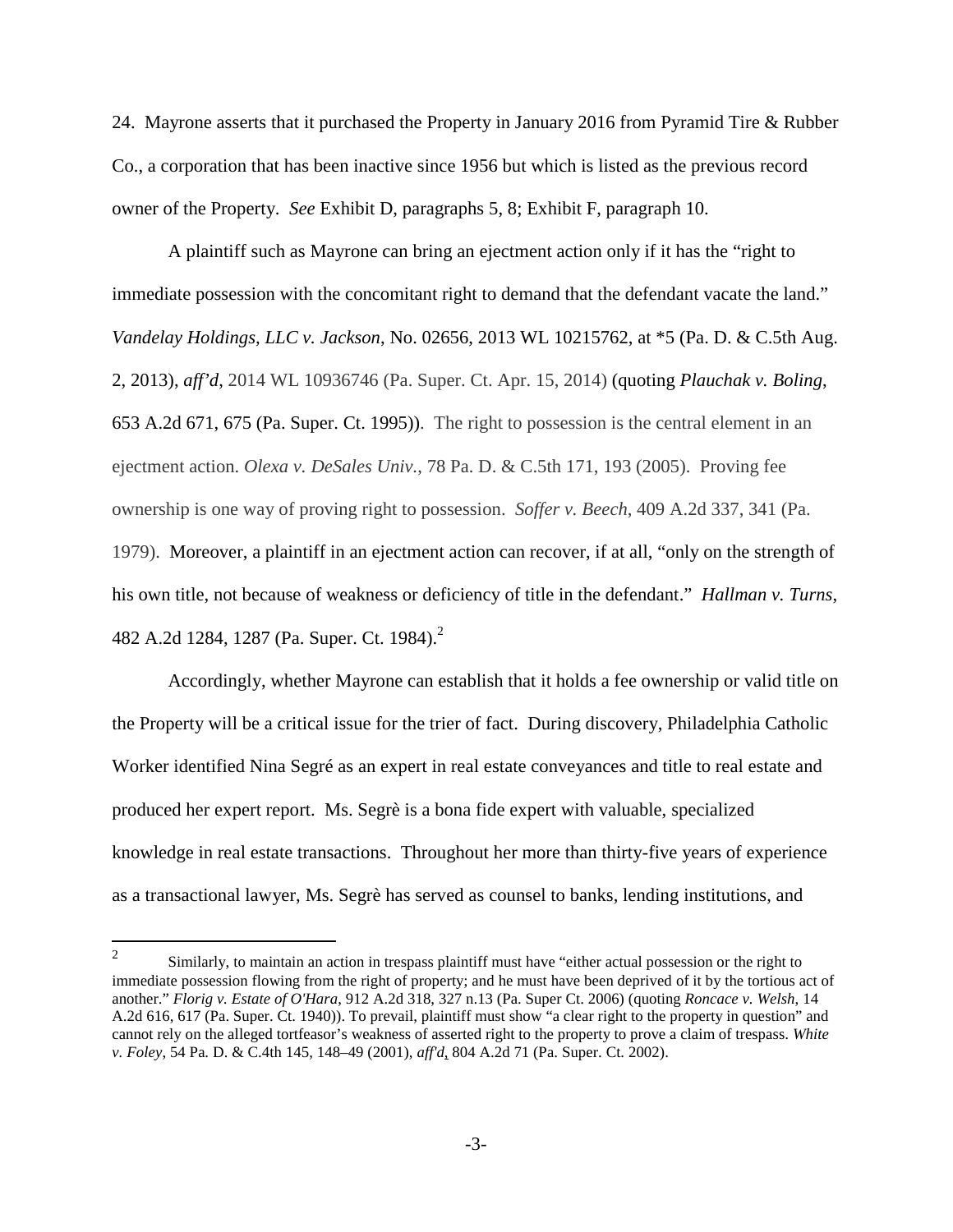24. Mayrone asserts that it purchased the Property in January 2016 from Pyramid Tire & Rubber Co., a corporation that has been inactive since 1956 but which is listed as the previous record owner of the Property. *See* Exhibit D, paragraphs 5, 8; Exhibit F, paragraph 10.

A plaintiff such as Mayrone can bring an ejectment action only if it has the "right to immediate possession with the concomitant right to demand that the defendant vacate the land." *Vandelay Holdings, LLC v. Jackson*, No. 02656, 2013 WL 10215762, at \*5 (Pa. D. & C.5th Aug. 2, 2013), *aff'd*, 2014 WL 10936746 (Pa. Super. Ct. Apr. 15, 2014) (quoting *Plauchak v. Boling*, 653 A.2d 671, 675 (Pa. Super. Ct. 1995)). The right to possession is the central element in an ejectment action. *Olexa v. DeSales Univ.*, 78 Pa. D. & C.5th 171, 193 (2005). Proving fee ownership is one way of proving right to possession. *Soffer v. Beech*, 409 A.2d 337, 341 (Pa. 1979). Moreover, a plaintiff in an ejectment action can recover, if at all, "only on the strength of his own title, not because of weakness or deficiency of title in the defendant." *Hallman v. Turns*, 482 A.2d 1284, 1287 (Pa. Super. Ct. 1984).<sup>2</sup>

Accordingly, whether Mayrone can establish that it holds a fee ownership or valid title on the Property will be a critical issue for the trier of fact. During discovery, Philadelphia Catholic Worker identified Nina Segré as an expert in real estate conveyances and title to real estate and produced her expert report. Ms. Segrè is a bona fide expert with valuable, specialized knowledge in real estate transactions. Throughout her more than thirty-five years of experience as a transactional lawyer, Ms. Segrè has served as counsel to banks, lending institutions, and

 $\overline{a}$ 

<sup>2</sup> Similarly, to maintain an action in trespass plaintiff must have "either actual possession or the right to immediate possession flowing from the right of property; and he must have been deprived of it by the tortious act of another." *Florig v. Estate of O'Hara*, 912 A.2d 318, 327 n.13 (Pa. Super Ct. 2006) (quoting *Roncace v. Welsh*, 14 A.2d 616, 617 (Pa. Super. Ct. 1940)). To prevail, plaintiff must show "a clear right to the property in question" and cannot rely on the alleged tortfeasor's weakness of asserted right to the property to prove a claim of trespass. *White v. Foley*, 54 Pa. D. & C.4th 145, 148–49 (2001), *aff'd*, 804 A.2d 71 (Pa. Super. Ct. 2002).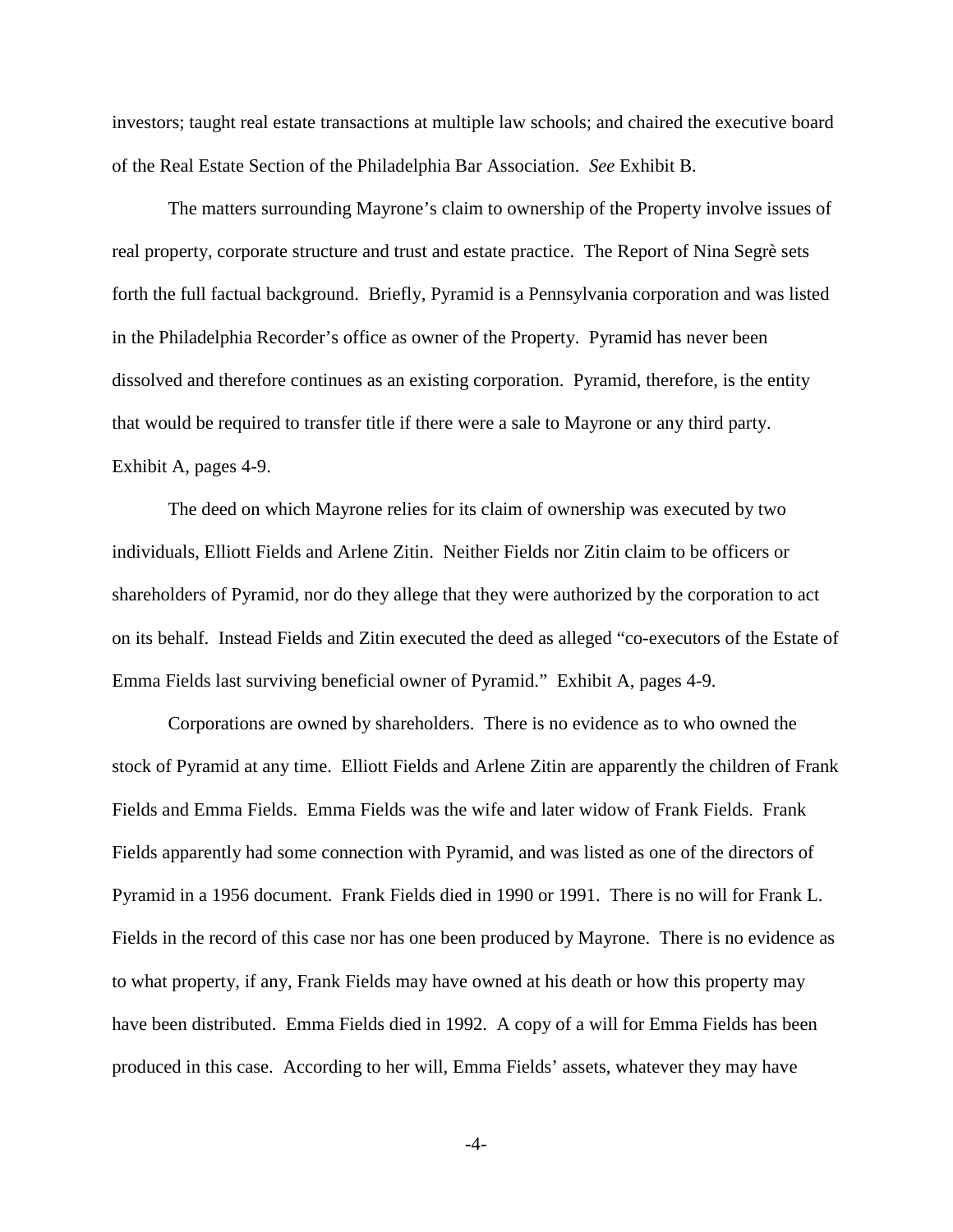investors; taught real estate transactions at multiple law schools; and chaired the executive board of the Real Estate Section of the Philadelphia Bar Association. *See* Exhibit B.

The matters surrounding Mayrone's claim to ownership of the Property involve issues of real property, corporate structure and trust and estate practice. The Report of Nina Segrè sets forth the full factual background. Briefly, Pyramid is a Pennsylvania corporation and was listed in the Philadelphia Recorder's office as owner of the Property. Pyramid has never been dissolved and therefore continues as an existing corporation. Pyramid, therefore, is the entity that would be required to transfer title if there were a sale to Mayrone or any third party. Exhibit A, pages 4-9.

The deed on which Mayrone relies for its claim of ownership was executed by two individuals, Elliott Fields and Arlene Zitin. Neither Fields nor Zitin claim to be officers or shareholders of Pyramid, nor do they allege that they were authorized by the corporation to act on its behalf. Instead Fields and Zitin executed the deed as alleged "co-executors of the Estate of Emma Fields last surviving beneficial owner of Pyramid." Exhibit A, pages 4-9.

Corporations are owned by shareholders. There is no evidence as to who owned the stock of Pyramid at any time. Elliott Fields and Arlene Zitin are apparently the children of Frank Fields and Emma Fields. Emma Fields was the wife and later widow of Frank Fields. Frank Fields apparently had some connection with Pyramid, and was listed as one of the directors of Pyramid in a 1956 document. Frank Fields died in 1990 or 1991. There is no will for Frank L. Fields in the record of this case nor has one been produced by Mayrone. There is no evidence as to what property, if any, Frank Fields may have owned at his death or how this property may have been distributed. Emma Fields died in 1992. A copy of a will for Emma Fields has been produced in this case. According to her will, Emma Fields' assets, whatever they may have

-4-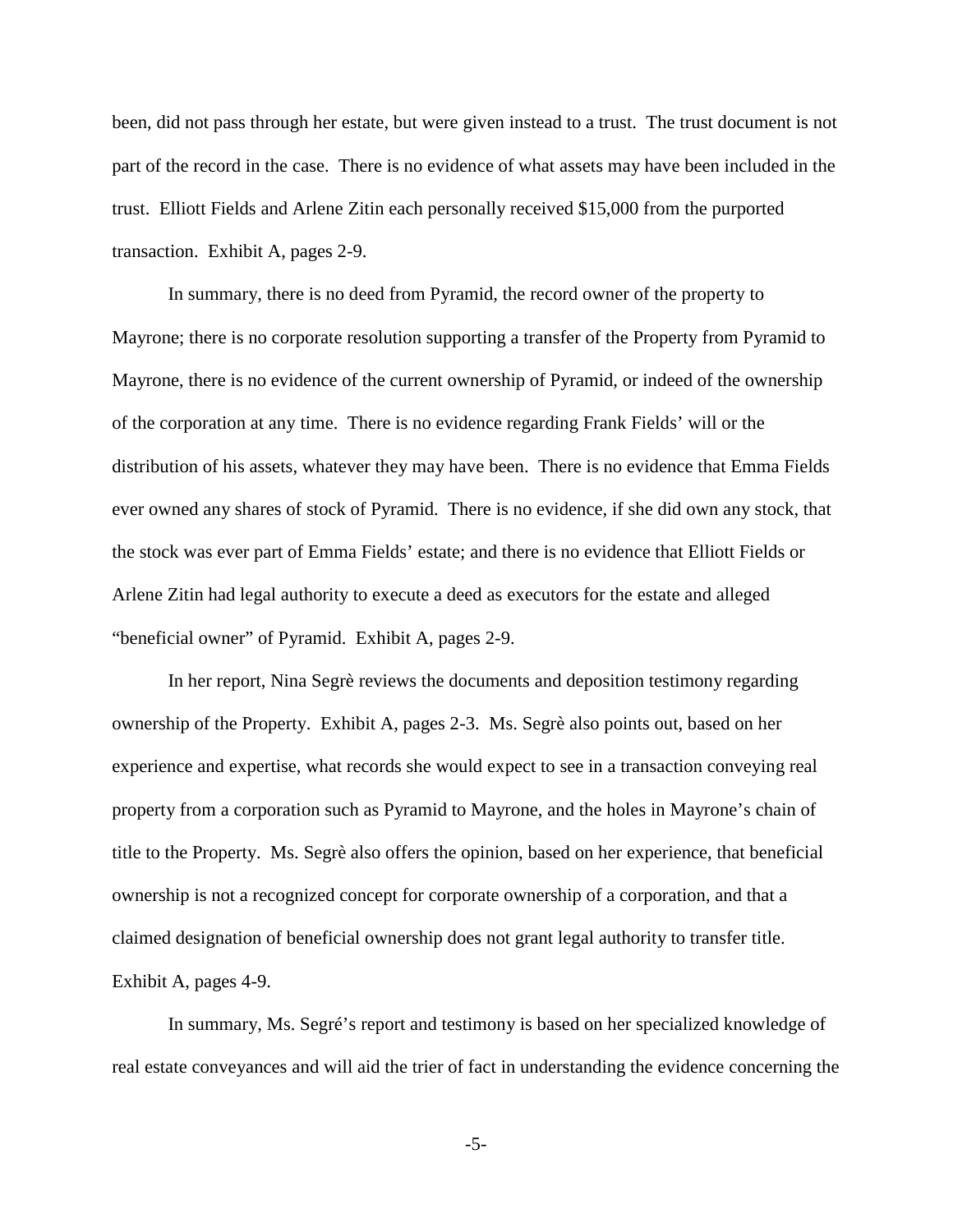been, did not pass through her estate, but were given instead to a trust. The trust document is not part of the record in the case. There is no evidence of what assets may have been included in the trust. Elliott Fields and Arlene Zitin each personally received \$15,000 from the purported transaction. Exhibit A, pages 2-9.

In summary, there is no deed from Pyramid, the record owner of the property to Mayrone; there is no corporate resolution supporting a transfer of the Property from Pyramid to Mayrone, there is no evidence of the current ownership of Pyramid, or indeed of the ownership of the corporation at any time. There is no evidence regarding Frank Fields' will or the distribution of his assets, whatever they may have been. There is no evidence that Emma Fields ever owned any shares of stock of Pyramid. There is no evidence, if she did own any stock, that the stock was ever part of Emma Fields' estate; and there is no evidence that Elliott Fields or Arlene Zitin had legal authority to execute a deed as executors for the estate and alleged "beneficial owner" of Pyramid. Exhibit A, pages 2-9.

In her report, Nina Segrè reviews the documents and deposition testimony regarding ownership of the Property. Exhibit A, pages 2-3. Ms. Segrè also points out, based on her experience and expertise, what records she would expect to see in a transaction conveying real property from a corporation such as Pyramid to Mayrone, and the holes in Mayrone's chain of title to the Property. Ms. Segrè also offers the opinion, based on her experience, that beneficial ownership is not a recognized concept for corporate ownership of a corporation, and that a claimed designation of beneficial ownership does not grant legal authority to transfer title. Exhibit A, pages 4-9.

In summary, Ms. Segré's report and testimony is based on her specialized knowledge of real estate conveyances and will aid the trier of fact in understanding the evidence concerning the

-5-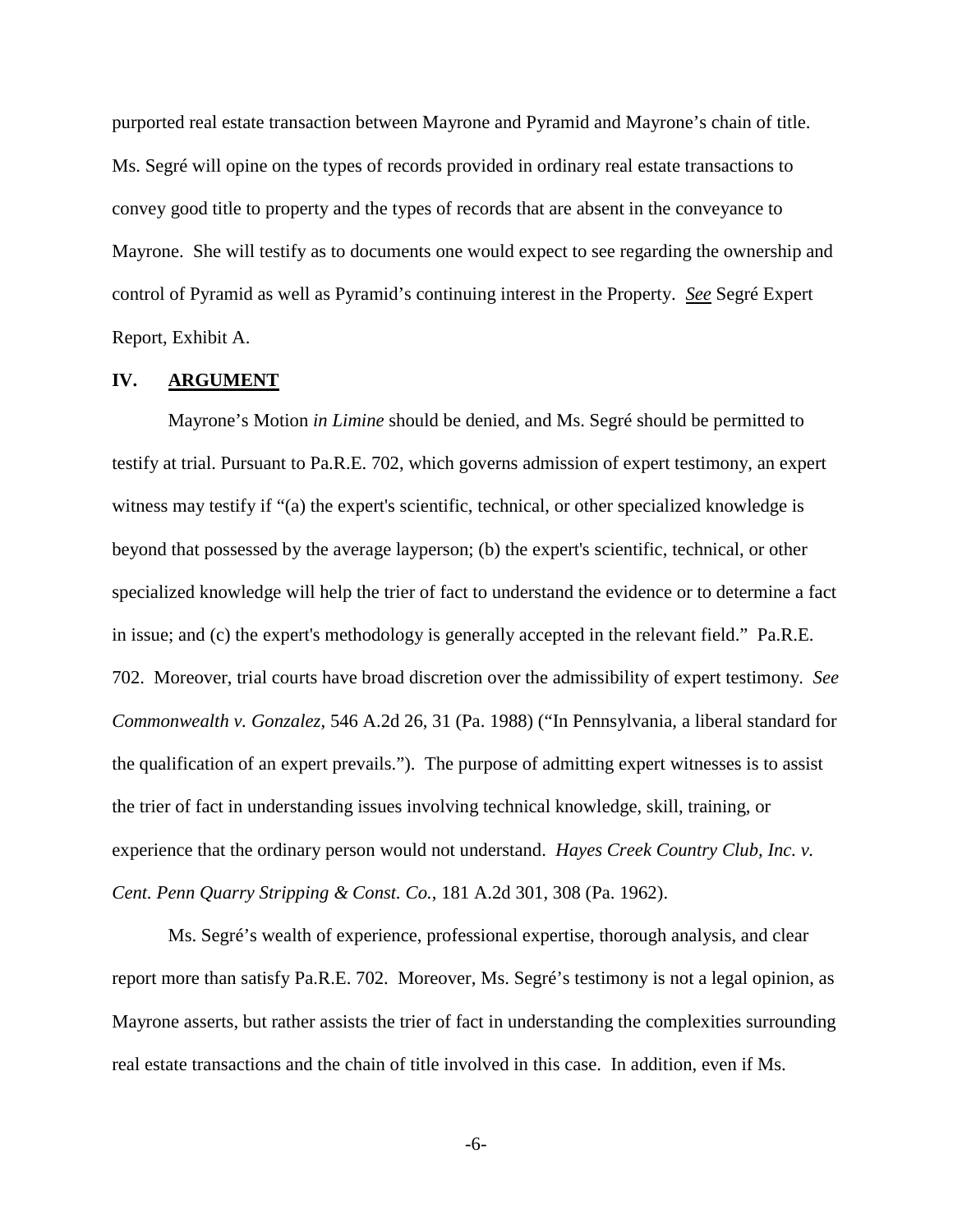purported real estate transaction between Mayrone and Pyramid and Mayrone's chain of title. Ms. Segré will opine on the types of records provided in ordinary real estate transactions to convey good title to property and the types of records that are absent in the conveyance to Mayrone. She will testify as to documents one would expect to see regarding the ownership and control of Pyramid as well as Pyramid's continuing interest in the Property. *See* Segré Expert Report, Exhibit A.

#### **IV. ARGUMENT**

Mayrone's Motion *in Limine* should be denied, and Ms. Segré should be permitted to testify at trial. Pursuant to Pa.R.E. 702, which governs admission of expert testimony, an expert witness may testify if "(a) the expert's scientific, technical, or other specialized knowledge is beyond that possessed by the average layperson; (b) the expert's scientific, technical, or other specialized knowledge will help the trier of fact to understand the evidence or to determine a fact in issue; and (c) the expert's methodology is generally accepted in the relevant field." Pa.R.E. 702. Moreover, trial courts have broad discretion over the admissibility of expert testimony. *See Commonwealth v. Gonzalez*, 546 A.2d 26, 31 (Pa. 1988) ("In Pennsylvania, a liberal standard for the qualification of an expert prevails."). The purpose of admitting expert witnesses is to assist the trier of fact in understanding issues involving technical knowledge, skill, training, or experience that the ordinary person would not understand. *Hayes Creek Country Club, Inc. v. Cent. Penn Quarry Stripping & Const. Co.*, 181 A.2d 301, 308 (Pa. 1962).

Ms. Segré's wealth of experience, professional expertise, thorough analysis, and clear report more than satisfy Pa.R.E. 702. Moreover, Ms. Segré's testimony is not a legal opinion, as Mayrone asserts, but rather assists the trier of fact in understanding the complexities surrounding real estate transactions and the chain of title involved in this case. In addition, even if Ms.

-6-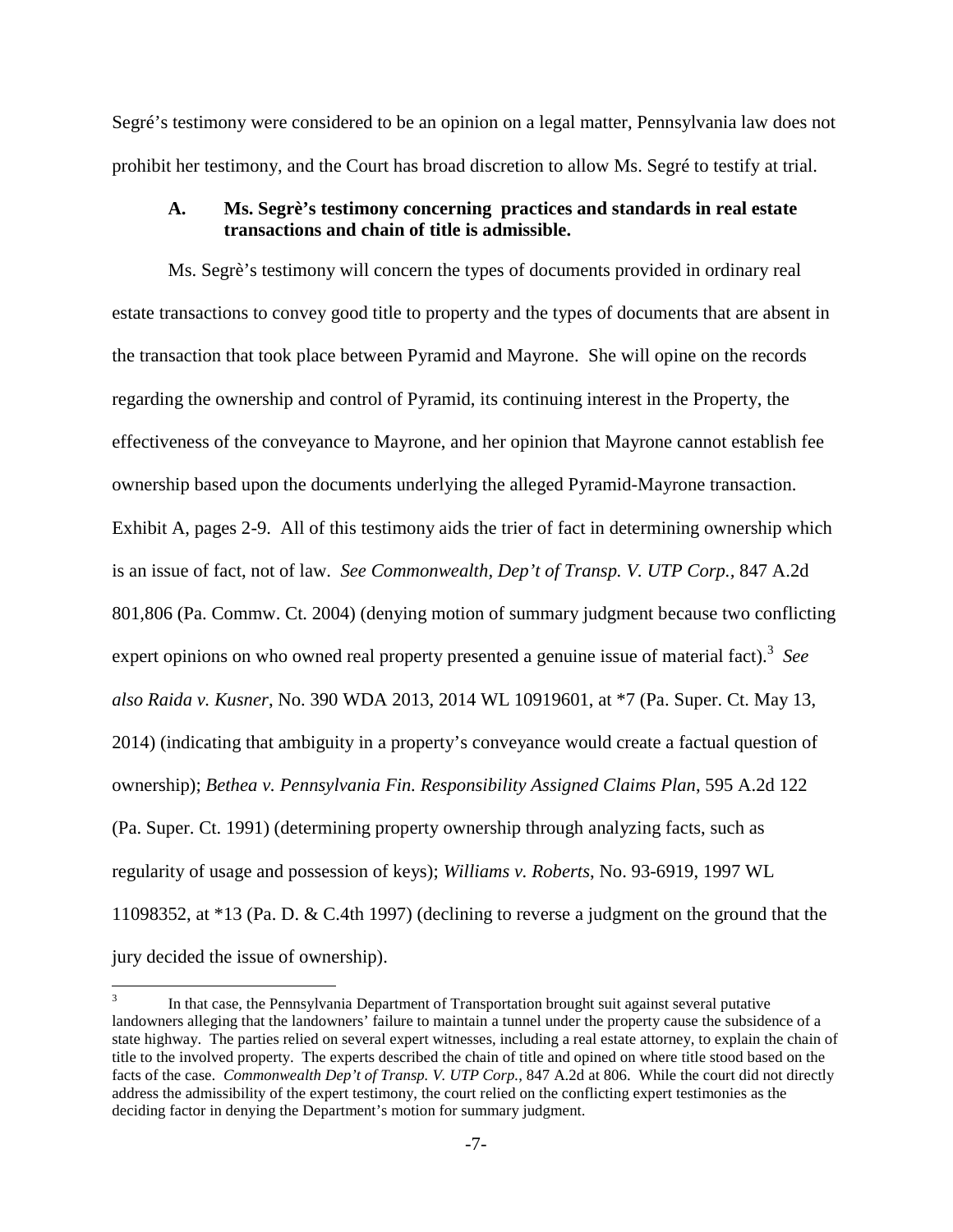Segré's testimony were considered to be an opinion on a legal matter, Pennsylvania law does not prohibit her testimony, and the Court has broad discretion to allow Ms. Segré to testify at trial.

## **A. Ms. Segrè's testimony concerning practices and standards in real estate transactions and chain of title is admissible.**

Ms. Segrè's testimony will concern the types of documents provided in ordinary real estate transactions to convey good title to property and the types of documents that are absent in the transaction that took place between Pyramid and Mayrone. She will opine on the records regarding the ownership and control of Pyramid, its continuing interest in the Property, the effectiveness of the conveyance to Mayrone, and her opinion that Mayrone cannot establish fee ownership based upon the documents underlying the alleged Pyramid-Mayrone transaction. Exhibit A, pages 2-9. All of this testimony aids the trier of fact in determining ownership which is an issue of fact, not of law. *See Commonwealth, Dep't of Transp. V. UTP Corp.,* 847 A.2d 801,806 (Pa. Commw. Ct. 2004) (denying motion of summary judgment because two conflicting expert opinions on who owned real property presented a genuine issue of material fact).<sup>3</sup> See *also Raida v. Kusner*, No. 390 WDA 2013, 2014 WL 10919601, at \*7 (Pa. Super. Ct. May 13, 2014) (indicating that ambiguity in a property's conveyance would create a factual question of ownership); *Bethea v. Pennsylvania Fin. Responsibility Assigned Claims Plan*, 595 A.2d 122 (Pa. Super. Ct. 1991) (determining property ownership through analyzing facts, such as regularity of usage and possession of keys); *Williams v. Roberts*, No. 93-6919, 1997 WL 11098352, at \*13 (Pa. D. & C.4th 1997) (declining to reverse a judgment on the ground that the jury decided the issue of ownership).

<u>.</u>

<sup>3</sup> In that case, the Pennsylvania Department of Transportation brought suit against several putative landowners alleging that the landowners' failure to maintain a tunnel under the property cause the subsidence of a state highway. The parties relied on several expert witnesses, including a real estate attorney, to explain the chain of title to the involved property. The experts described the chain of title and opined on where title stood based on the facts of the case. *Commonwealth Dep't of Transp. V. UTP Corp.*, 847 A.2d at 806. While the court did not directly address the admissibility of the expert testimony, the court relied on the conflicting expert testimonies as the deciding factor in denying the Department's motion for summary judgment.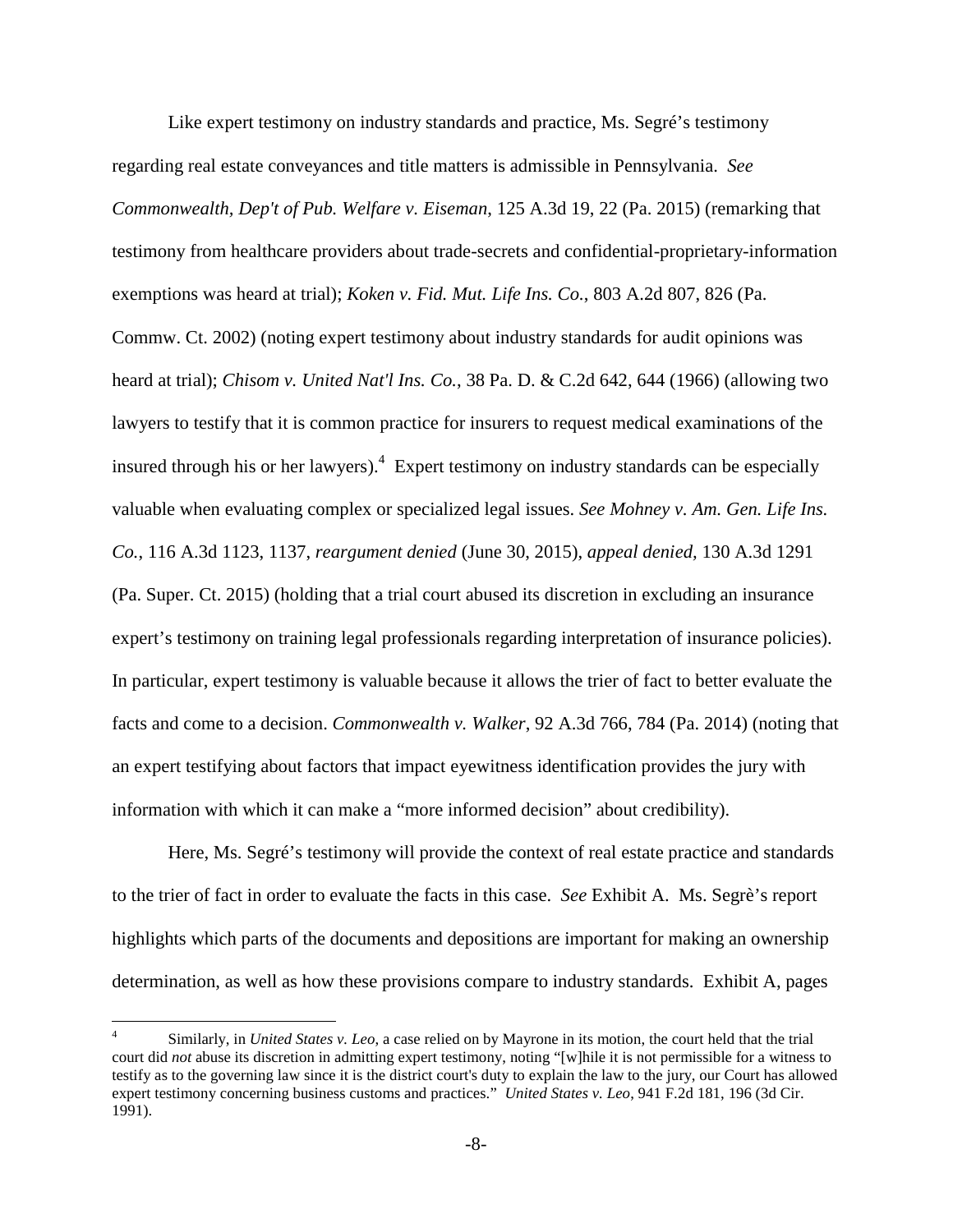Like expert testimony on industry standards and practice, Ms. Segré's testimony regarding real estate conveyances and title matters is admissible in Pennsylvania. *See Commonwealth, Dep't of Pub. Welfare v. Eiseman*, 125 A.3d 19, 22 (Pa. 2015) (remarking that testimony from healthcare providers about trade-secrets and confidential-proprietary-information exemptions was heard at trial); *Koken v. Fid. Mut. Life Ins. Co.*, 803 A.2d 807, 826 (Pa. Commw. Ct. 2002) (noting expert testimony about industry standards for audit opinions was heard at trial); *Chisom v. United Nat'l Ins. Co.*, 38 Pa. D. & C.2d 642, 644 (1966) (allowing two lawyers to testify that it is common practice for insurers to request medical examinations of the insured through his or her lawyers).<sup>4</sup> Expert testimony on industry standards can be especially valuable when evaluating complex or specialized legal issues. *See Mohney v. Am. Gen. Life Ins. Co.*, 116 A.3d 1123, 1137, *reargument denied* (June 30, 2015), *appeal denied,* 130 A.3d 1291 (Pa. Super. Ct. 2015) (holding that a trial court abused its discretion in excluding an insurance expert's testimony on training legal professionals regarding interpretation of insurance policies). In particular, expert testimony is valuable because it allows the trier of fact to better evaluate the facts and come to a decision. *Commonwealth v. Walker*, 92 A.3d 766, 784 (Pa. 2014) (noting that an expert testifying about factors that impact eyewitness identification provides the jury with information with which it can make a "more informed decision" about credibility).

Here, Ms. Segré's testimony will provide the context of real estate practice and standards to the trier of fact in order to evaluate the facts in this case. *See* Exhibit A. Ms. Segrè's report highlights which parts of the documents and depositions are important for making an ownership determination, as well as how these provisions compare to industry standards. Exhibit A, pages

 $\overline{a}$ 

<sup>4</sup> Similarly, in *United States v. Leo*, a case relied on by Mayrone in its motion, the court held that the trial court did *not* abuse its discretion in admitting expert testimony, noting "[w]hile it is not permissible for a witness to testify as to the governing law since it is the district court's duty to explain the law to the jury, our Court has allowed expert testimony concerning business customs and practices." *United States v. Leo*, 941 F.2d 181, 196 (3d Cir. 1991).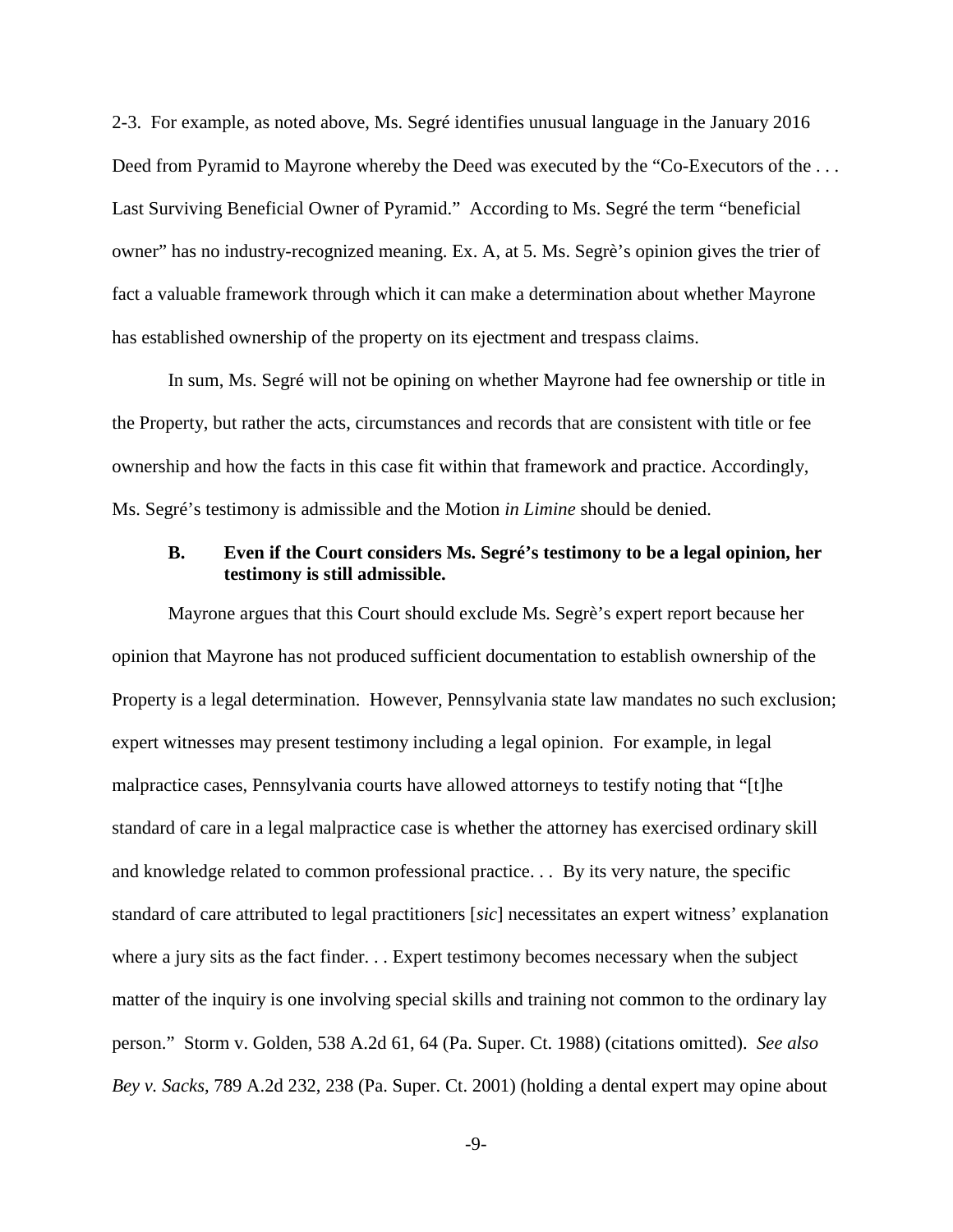2-3. For example, as noted above, Ms. Segré identifies unusual language in the January 2016 Deed from Pyramid to Mayrone whereby the Deed was executed by the "Co-Executors of the ... Last Surviving Beneficial Owner of Pyramid." According to Ms. Segré the term "beneficial owner" has no industry-recognized meaning. Ex. A, at 5. Ms. Segrè's opinion gives the trier of fact a valuable framework through which it can make a determination about whether Mayrone has established ownership of the property on its ejectment and trespass claims.

In sum, Ms. Segré will not be opining on whether Mayrone had fee ownership or title in the Property, but rather the acts, circumstances and records that are consistent with title or fee ownership and how the facts in this case fit within that framework and practice. Accordingly, Ms. Segré's testimony is admissible and the Motion *in Limine* should be denied.

#### **B. Even if the Court considers Ms. Segré's testimony to be a legal opinion, her testimony is still admissible.**

Mayrone argues that this Court should exclude Ms. Segrè's expert report because her opinion that Mayrone has not produced sufficient documentation to establish ownership of the Property is a legal determination. However, Pennsylvania state law mandates no such exclusion; expert witnesses may present testimony including a legal opinion. For example, in legal malpractice cases, Pennsylvania courts have allowed attorneys to testify noting that "[t]he standard of care in a legal malpractice case is whether the attorney has exercised ordinary skill and knowledge related to common professional practice. . . By its very nature, the specific standard of care attributed to legal practitioners [*sic*] necessitates an expert witness' explanation where a jury sits as the fact finder. . . Expert testimony becomes necessary when the subject matter of the inquiry is one involving special skills and training not common to the ordinary lay person." Storm v. Golden, 538 A.2d 61, 64 (Pa. Super. Ct. 1988) (citations omitted). *See also Bey v. Sacks*, 789 A.2d 232, 238 (Pa. Super. Ct. 2001) (holding a dental expert may opine about

-9-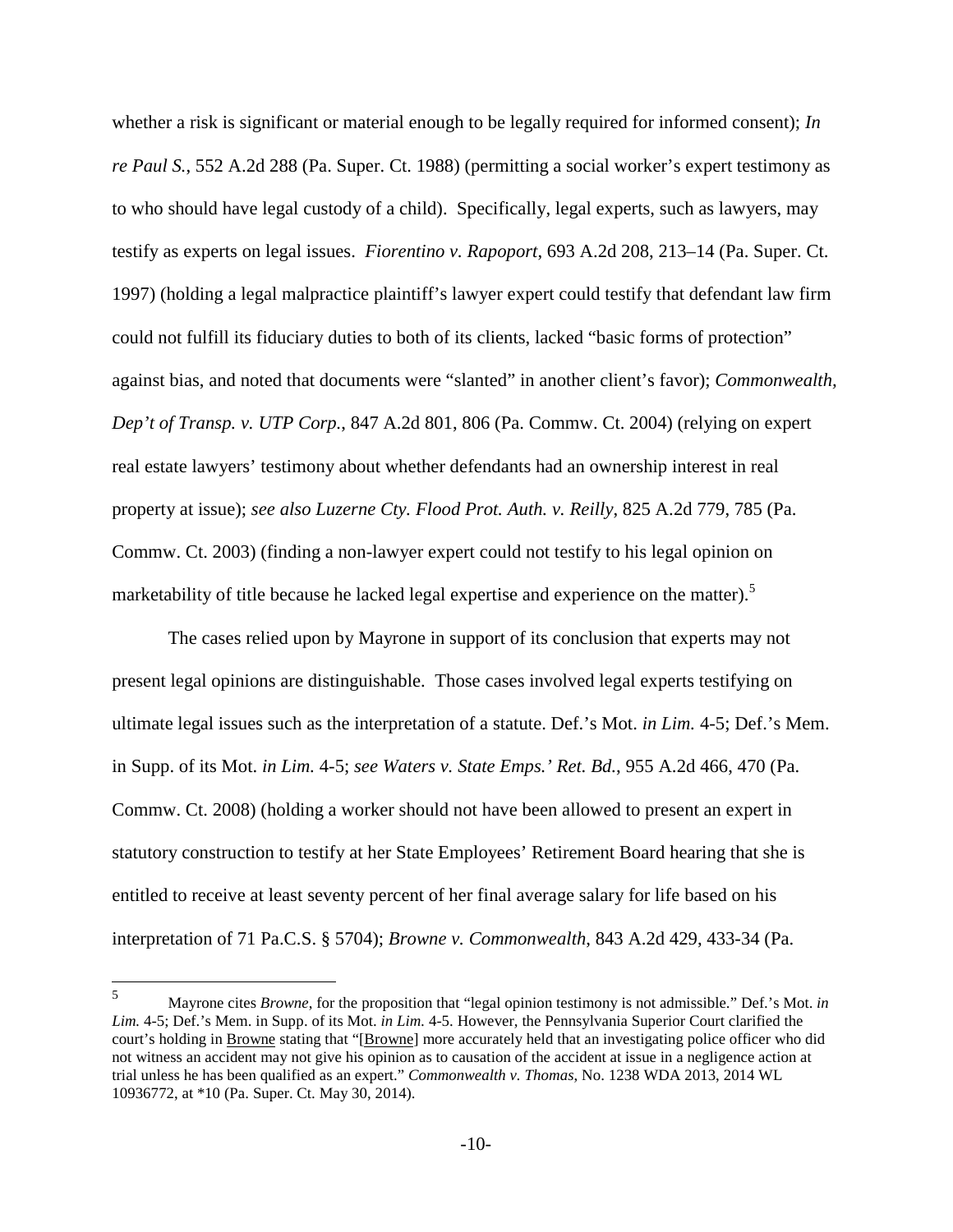whether a risk is significant or material enough to be legally required for informed consent); *In re Paul S.*, 552 A.2d 288 (Pa. Super. Ct. 1988) (permitting a social worker's expert testimony as to who should have legal custody of a child). Specifically, legal experts, such as lawyers, may testify as experts on legal issues. *Fiorentino v. Rapoport*, 693 A.2d 208, 213–14 (Pa. Super. Ct. 1997) (holding a legal malpractice plaintiff's lawyer expert could testify that defendant law firm could not fulfill its fiduciary duties to both of its clients, lacked "basic forms of protection" against bias, and noted that documents were "slanted" in another client's favor); *Commonwealth, Dep't of Transp. v. UTP Corp.*, 847 A.2d 801, 806 (Pa. Commw. Ct. 2004) (relying on expert real estate lawyers' testimony about whether defendants had an ownership interest in real property at issue); *see also Luzerne Cty. Flood Prot. Auth. v. Reilly*, 825 A.2d 779, 785 (Pa. Commw. Ct. 2003) (finding a non-lawyer expert could not testify to his legal opinion on marketability of title because he lacked legal expertise and experience on the matter).<sup>5</sup>

The cases relied upon by Mayrone in support of its conclusion that experts may not present legal opinions are distinguishable. Those cases involved legal experts testifying on ultimate legal issues such as the interpretation of a statute. Def.'s Mot. *in Lim.* 4-5; Def.'s Mem. in Supp. of its Mot. *in Lim.* 4-5; *see Waters v. State Emps.' Ret. Bd.*, 955 A.2d 466, 470 (Pa. Commw. Ct. 2008) (holding a worker should not have been allowed to present an expert in statutory construction to testify at her State Employees' Retirement Board hearing that she is entitled to receive at least seventy percent of her final average salary for life based on his interpretation of 71 Pa.C.S. § 5704); *Browne v. Commonwealth*, 843 A.2d 429, 433-34 (Pa.

<u>.</u>

<sup>5</sup> Mayrone cites *Browne*, for the proposition that "legal opinion testimony is not admissible." Def.'s Mot. *in Lim.* 4-5; Def.'s Mem. in Supp. of its Mot. *in Lim.* 4-5. However, the Pennsylvania Superior Court clarified the court's holding in **Browne** stating that "[Browne] more accurately held that an investigating police officer who did not witness an accident may not give his opinion as to causation of the accident at issue in a negligence action at trial unless he has been qualified as an expert." *Commonwealth v. Thomas*, No. 1238 WDA 2013, 2014 WL 10936772, at \*10 (Pa. Super. Ct. May 30, 2014).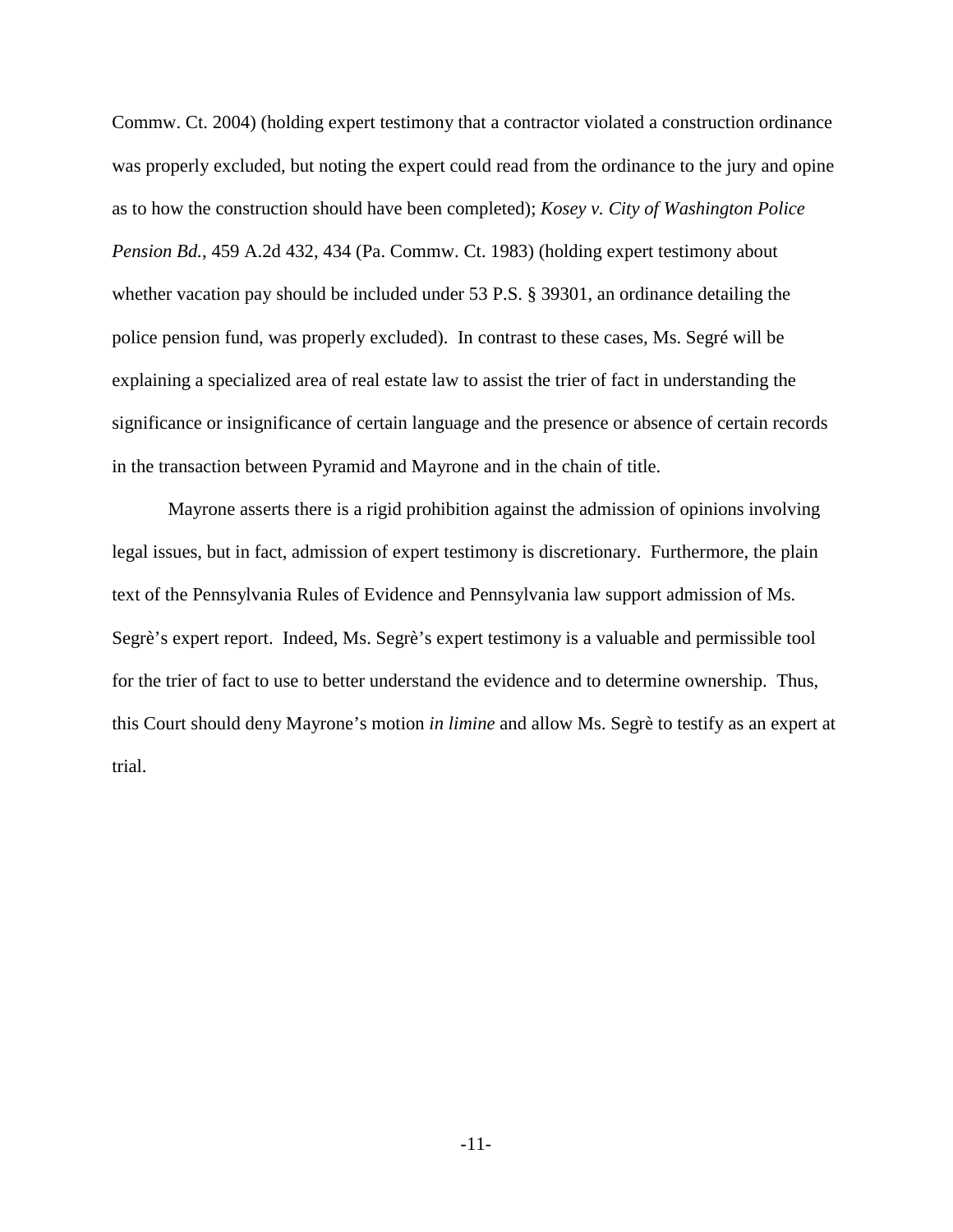Commw. Ct. 2004) (holding expert testimony that a contractor violated a construction ordinance was properly excluded, but noting the expert could read from the ordinance to the jury and opine as to how the construction should have been completed); *Kosey v. City of Washington Police Pension Bd.*, 459 A.2d 432, 434 (Pa. Commw. Ct. 1983) (holding expert testimony about whether vacation pay should be included under 53 P.S. § 39301, an ordinance detailing the police pension fund, was properly excluded). In contrast to these cases, Ms. Segré will be explaining a specialized area of real estate law to assist the trier of fact in understanding the significance or insignificance of certain language and the presence or absence of certain records in the transaction between Pyramid and Mayrone and in the chain of title.

Mayrone asserts there is a rigid prohibition against the admission of opinions involving legal issues, but in fact, admission of expert testimony is discretionary. Furthermore, the plain text of the Pennsylvania Rules of Evidence and Pennsylvania law support admission of Ms. Segrè's expert report. Indeed, Ms. Segrè's expert testimony is a valuable and permissible tool for the trier of fact to use to better understand the evidence and to determine ownership. Thus, this Court should deny Mayrone's motion *in limine* and allow Ms. Segrè to testify as an expert at trial.